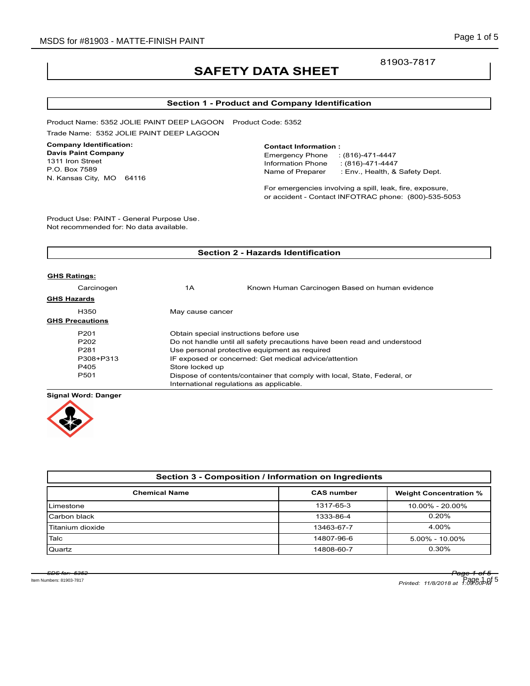## 81903-7817

# **SAFETY DATA SHEET**

## **Section 1 - Product and Company Identification**

Product Name: 5352 JOLIE PAINT DEEP LAGOON Product Code: 5352 Trade Name: 5352 JOLIE PAINT DEEP LAGOON

## **Company Identification:**

**Davis Paint Company** 1311 Iron Street P.O. Box 7589 N. Kansas City, MO 64116

#### **Contact Information :**

Emergency Phone : (816)-471-4447 Information Phone : (816)-471-4447<br>Name of Preparer : Env., Health, & : Env., Health, & Safety Dept.

For emergencies involving a spill, leak, fire, exposure, or accident - Contact INFOTRAC phone: (800)-535-5053

Product Use: PAINT - General Purpose Use. Not recommended for: No data available.

| <b>Section 2 - Hazards Identification</b> |                                                                          |                                                |  |  |
|-------------------------------------------|--------------------------------------------------------------------------|------------------------------------------------|--|--|
|                                           |                                                                          |                                                |  |  |
| <b>GHS Ratings:</b>                       |                                                                          |                                                |  |  |
| Carcinogen                                | 1A                                                                       | Known Human Carcinogen Based on human evidence |  |  |
| <b>GHS Hazards</b>                        |                                                                          |                                                |  |  |
| H350                                      | May cause cancer                                                         |                                                |  |  |
| <b>GHS Precautions</b>                    |                                                                          |                                                |  |  |
| P <sub>201</sub>                          | Obtain special instructions before use                                   |                                                |  |  |
| P <sub>202</sub>                          | Do not handle until all safety precautions have been read and understood |                                                |  |  |
| P <sub>281</sub>                          | Use personal protective equipment as required                            |                                                |  |  |
| P308+P313                                 | IF exposed or concerned: Get medical advice/attention                    |                                                |  |  |
| P405                                      | Store locked up                                                          |                                                |  |  |
| P <sub>501</sub>                          | Dispose of contents/container that comply with local, State, Federal, or |                                                |  |  |
|                                           | International regulations as applicable.                                 |                                                |  |  |
|                                           |                                                                          |                                                |  |  |

**Signal Word: Danger**



| Section 3 - Composition / Information on Ingredients |                   |                               |  |  |
|------------------------------------------------------|-------------------|-------------------------------|--|--|
| <b>Chemical Name</b>                                 | <b>CAS number</b> | <b>Weight Concentration %</b> |  |  |
| Limestone                                            | 1317-65-3         | 10.00% - 20.00%               |  |  |
| Carbon black                                         | 1333-86-4         | 0.20%                         |  |  |
| Titanium dioxide                                     | 13463-67-7        | 4.00%                         |  |  |
| Talc                                                 | 14807-96-6        | $5.00\% - 10.00\%$            |  |  |
| Quartz                                               | 14808-60-7        | 0.30%                         |  |  |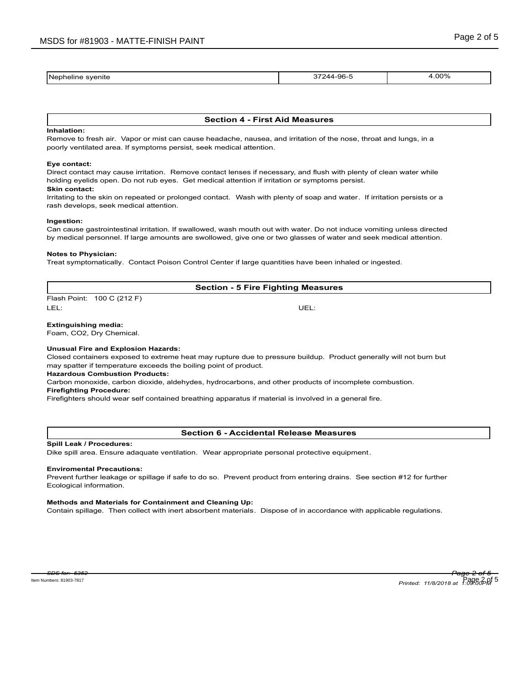| Nepheline<br>svenite<br>____<br>____________ | -96-<br>״ ״ ״<br>. . | .00%<br>___ |
|----------------------------------------------|----------------------|-------------|
|                                              |                      |             |

#### **Section 4 - First Aid Measures**

#### **Inhalation:**

Remove to fresh air. Vapor or mist can cause headache, nausea, and irritation of the nose, throat and lungs, in a poorly ventilated area. If symptoms persist, seek medical attention.

#### **Eye contact:**

Direct contact may cause irritation. Remove contact lenses if necessary, and flush with plenty of clean water while holding eyelids open. Do not rub eyes. Get medical attention if irritation or symptoms persist.

### **Skin contact:**

Irritating to the skin on repeated or prolonged contact. Wash with plenty of soap and water. If irritation persists or a rash develops, seek medical attention.

#### **Ingestion:**

Can cause gastrointestinal irritation. If swallowed, wash mouth out with water. Do not induce vomiting unless directed by medical personnel. If large amounts are swollowed, give one or two glasses of water and seek medical attention.

#### **Notes to Physician:**

Treat symptomatically. Contact Poison Control Center if large quantities have been inhaled or ingested.

## **Section - 5 Fire Fighting Measures**

Flash Point: 100 C (212 F) LEL: UEL:

#### **Extinguishing media:**

Foam, CO2, Dry Chemical.

#### **Unusual Fire and Explosion Hazards:**

Closed containers exposed to extreme heat may rupture due to pressure buildup. Product generally will not burn but may spatter if temperature exceeds the boiling point of product.

#### **Hazardous Combustion Products:**

Carbon monoxide, carbon dioxide, aldehydes, hydrocarbons, and other products of incomplete combustion. **Firefighting Procedure:**

Firefighters should wear self contained breathing apparatus if material is involved in a general fire.

#### **Section 6 - Accidental Release Measures**

#### **Spill Leak / Procedures:**

Dike spill area. Ensure adaquate ventilation. Wear appropriate personal protective equipment.

#### **Enviromental Precautions:**

Prevent further leakage or spillage if safe to do so. Prevent product from entering drains. See section #12 for further Ecological information.

#### **Methods and Materials for Containment and Cleaning Up:**

Contain spillage. Then collect with inert absorbent materials. Dispose of in accordance with applicable regulations.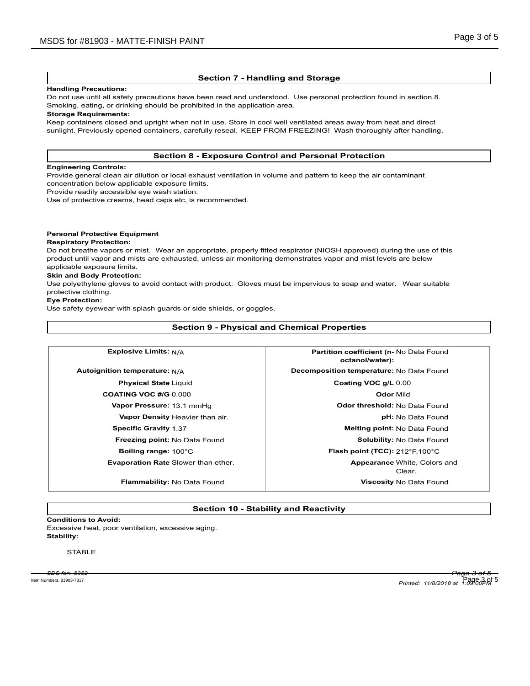### **Section 7 - Handling and Storage**

#### **Handling Precautions:**

Do not use until all safety precautions have been read and understood. Use personal protection found in section 8. Smoking, eating, or drinking should be prohibited in the application area.

#### **Storage Requirements:**

Keep containers closed and upright when not in use. Store in cool well ventilated areas away from heat and direct sunlight. Previously opened containers, carefully reseal. KEEP FROM FREEZING! Wash thoroughly after handling.

#### **Section 8 - Exposure Control and Personal Protection**

#### **Engineering Controls:**

Provide general clean air dilution or local exhaust ventilation in volume and pattern to keep the air contaminant concentration below applicable exposure limits.

Provide readily accessible eye wash station.

Use of protective creams, head caps etc, is recommended.

#### **Personal Protective Equipment**

#### **Respiratory Protection:**

Do not breathe vapors or mist. Wear an appropriate, properly fitted respirator (NIOSH approved) during the use of this product until vapor and mists are exhausted, unless air monitoring demonstrates vapor and mist levels are below applicable exposure limits.

#### **Skin and Body Protection:**

Use polyethylene gloves to avoid contact with product. Gloves must be impervious to soap and water. Wear suitable protective clothing.

#### **Eye Protection:**

Use safety eyewear with splash guards or side shields, or goggles.

**Section 9 - Physical and Chemical Properties**

| <b>Explosive Limits: N/A</b>           | Partition coefficient (n- No Data Found<br>octanol/water): |  |
|----------------------------------------|------------------------------------------------------------|--|
| Autoignition temperature: $N/A$        | Decomposition temperature: No Data Found                   |  |
| <b>Physical State Liquid</b>           | Coating VOC g/L 0.00                                       |  |
| <b>COATING VOC #/G 0.000</b>           | <b>Odor Mild</b>                                           |  |
| Vapor Pressure: 13.1 mmHg              | <b>Odor threshold: No Data Found</b>                       |  |
| <b>Vapor Density Heavier than air.</b> | <b>pH:</b> No Data Found                                   |  |
| <b>Specific Gravity 1.37</b>           | <b>Melting point: No Data Found</b>                        |  |
| <b>Freezing point: No Data Found</b>   | Solubility: No Data Found                                  |  |
| Boiling range: 100°C                   | <b>Flash point (TCC):</b> $212^{\circ}$ F, $100^{\circ}$ C |  |
| Evaporation Rate Slower than ether.    | <b>Appearance White, Colors and</b><br>Clear.              |  |
| Flammability: No Data Found            | <b>Viscosity No Data Found</b>                             |  |

## **Section 10 - Stability and Reactivity**

**Conditions to Avoid:** Excessive heat, poor ventilation, excessive aging. **Stability:**

## **STABLE**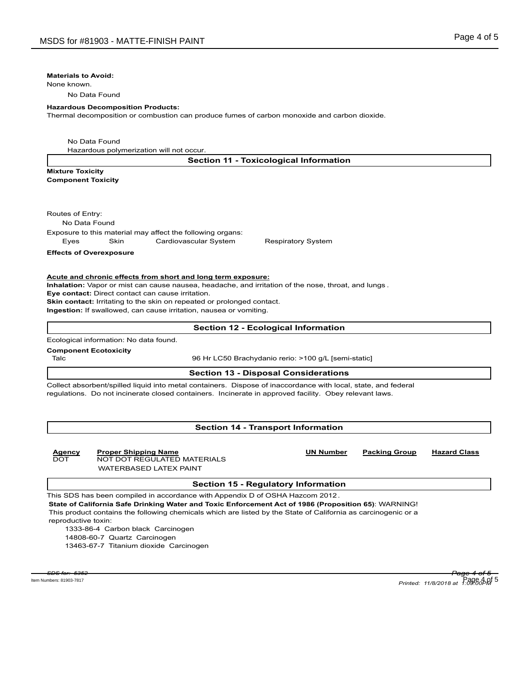#### **Materials to Avoid:**

None known.

No Data Found

#### **Hazardous Decomposition Products:**

Thermal decomposition or combustion can produce fumes of carbon monoxide and carbon dioxide.

No Data Found

Hazardous polymerization will not occur.

**Mixture Toxicity Component Toxicity**

Routes of Entry:

No Data Found

Exposure to this material may affect the following organs:

Eyes Skin Cardiovascular System Respiratory System

**Effects of Overexposure**

#### **Acute and chronic effects from short and long term exposure:**

**Inhalation:** Vapor or mist can cause nausea, headache, and irritation of the nose, throat, and lungs .

**Eye contact:** Direct contact can cause irritation.

**Skin contact:** Irritating to the skin on repeated or prolonged contact.

**Ingestion:** If swallowed, can cause irritation, nausea or vomiting.

#### **Section 12 - Ecological Information**

Ecological information: No data found.

**Component Ecotoxicity**

Talc 96 Hr LC50 Brachydanio rerio: >100 g/L [semi-static]

#### **Section 13 - Disposal Considerations**

Collect absorbent/spilled liquid into metal containers. Dispose of inaccordance with local, state, and federal regulations. Do not incinerate closed containers. Incinerate in approved facility. Obey relevant laws.

## **Section 14 - Transport Information**

## DOT NOT DOT REGULATED MATERIALS

WATERBASED LATEX PAINT

## **Section 15 - Regulatory Information**

This SDS has been compiled in accordance with Appendix D of OSHA Hazcom 2012. **State of California Safe Drinking Water and Toxic Enforcement Act of 1986 (Proposition 65)**: WARNING! This product contains the following chemicals which are listed by the State of California as carcinogenic or a reproductive toxin:

1333-86-4 Carbon black Carcinogen

14808-60-7 Quartz Carcinogen

13463-67-7 Titanium dioxide Carcinogen

**Agency Proper Shipping Name UN Number Packing Group Hazard Class**